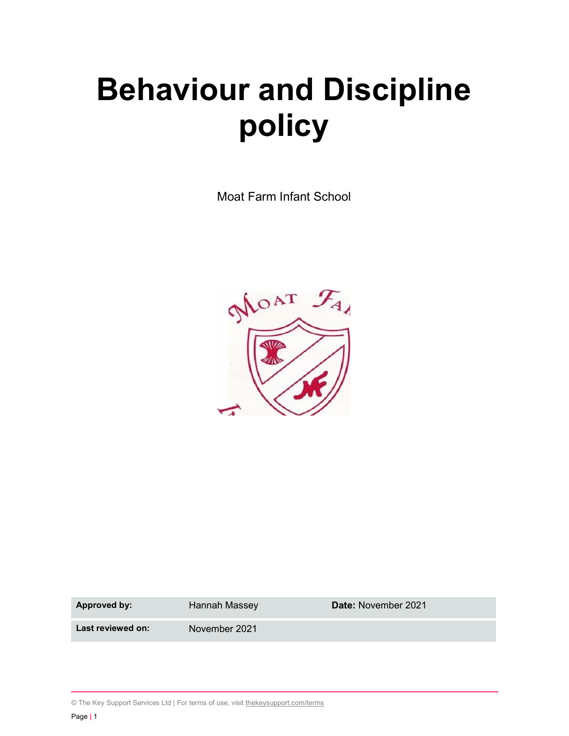# Behaviour and Discipline policy

Moat Farm Infant School



| <b>Approved by:</b> | Hannah Massey | <b>Date: November 2021</b> |
|---------------------|---------------|----------------------------|
| Last reviewed on:   | November 2021 |                            |

© The Key Support Services Ltd | For terms of use, visit thekeysupport.com/terms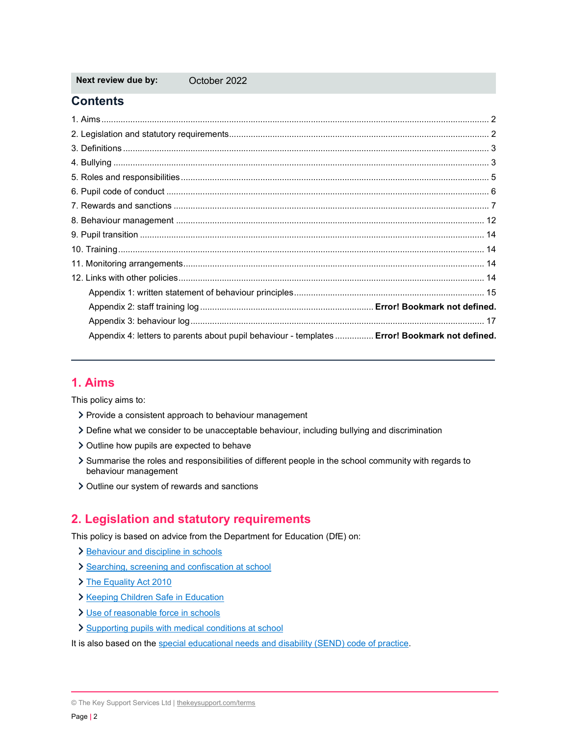Next review due by: Cotober 2022

## **Contents**

| Appendix 4: letters to parents about pupil behaviour - templates  Error! Bookmark not defined. |  |
|------------------------------------------------------------------------------------------------|--|
|                                                                                                |  |

## 1. Aims

This policy aims to:

- > Provide a consistent approach to behaviour management
- Define what we consider to be unacceptable behaviour, including bullying and discrimination
- Outline how pupils are expected to behave
- Summarise the roles and responsibilities of different people in the school community with regards to behaviour management
- > Outline our system of rewards and sanctions

## 2. Legislation and statutory requirements

This policy is based on advice from the Department for Education (DfE) on:

- > Behaviour and discipline in schools
- > Searching, screening and confiscation at school
- > The Equality Act 2010
- > Keeping Children Safe in Education
- Use of reasonable force in schools
- > Supporting pupils with medical conditions at school

It is also based on the special educational needs and disability (SEND) code of practice.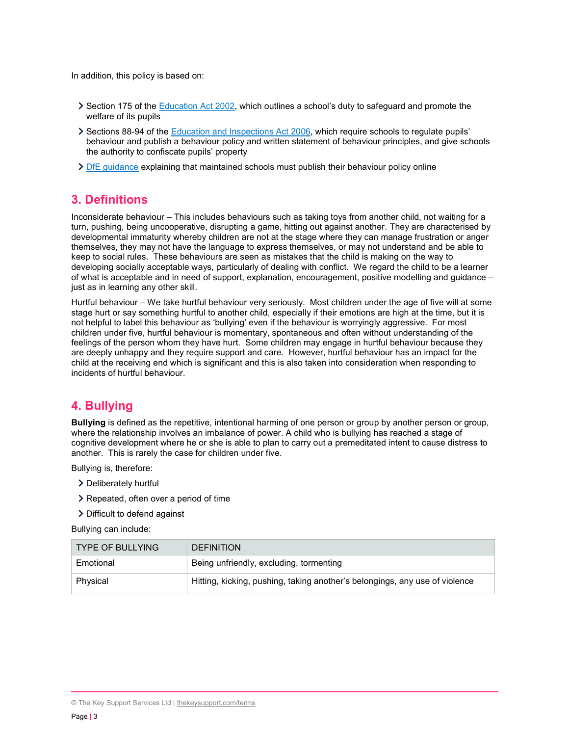In addition, this policy is based on:

- Section 175 of the Education Act 2002, which outlines a school's duty to safeguard and promote the welfare of its pupils
- Sections 88-94 of the Education and Inspections Act 2006, which require schools to regulate pupils' behaviour and publish a behaviour policy and written statement of behaviour principles, and give schools the authority to confiscate pupils' property
- DfE guidance explaining that maintained schools must publish their behaviour policy online

## 3. Definitions

Inconsiderate behaviour – This includes behaviours such as taking toys from another child, not waiting for a turn, pushing, being uncooperative, disrupting a game, hitting out against another. They are characterised by developmental immaturity whereby children are not at the stage where they can manage frustration or anger themselves, they may not have the language to express themselves, or may not understand and be able to keep to social rules. These behaviours are seen as mistakes that the child is making on the way to developing socially acceptable ways, particularly of dealing with conflict. We regard the child to be a learner of what is acceptable and in need of support, explanation, encouragement, positive modelling and guidance – just as in learning any other skill.

Hurtful behaviour – We take hurtful behaviour very seriously. Most children under the age of five will at some stage hurt or say something hurtful to another child, especially if their emotions are high at the time, but it is not helpful to label this behaviour as 'bullying' even if the behaviour is worryingly aggressive. For most children under five, hurtful behaviour is momentary, spontaneous and often without understanding of the feelings of the person whom they have hurt. Some children may engage in hurtful behaviour because they are deeply unhappy and they require support and care. However, hurtful behaviour has an impact for the child at the receiving end which is significant and this is also taken into consideration when responding to incidents of hurtful behaviour.

## 4. Bullying

Bullying is defined as the repetitive, intentional harming of one person or group by another person or group, where the relationship involves an imbalance of power. A child who is bullying has reached a stage of cognitive development where he or she is able to plan to carry out a premeditated intent to cause distress to another. This is rarely the case for children under five.

Bullying is, therefore:

- Deliberately hurtful
- $\geq$  Repeated, often over a period of time
- Difficult to defend against

Bullying can include:

| <b>TYPE OF BULLYING</b> | <b>DEFINITION</b>                                                           |
|-------------------------|-----------------------------------------------------------------------------|
| Emotional               | Being unfriendly, excluding, tormenting                                     |
| Physical                | Hitting, kicking, pushing, taking another's belongings, any use of violence |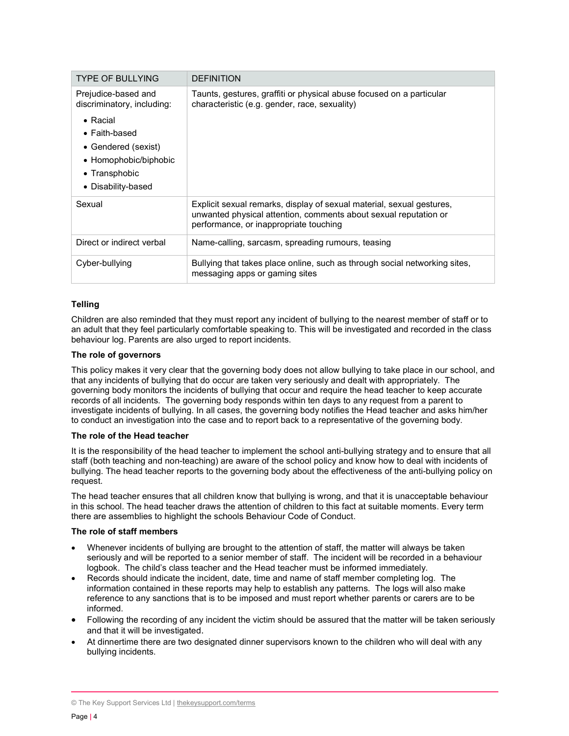| <b>TYPE OF BULLYING</b>                                                                                                          | <b>DEFINITION</b>                                                                                                                                                                   |
|----------------------------------------------------------------------------------------------------------------------------------|-------------------------------------------------------------------------------------------------------------------------------------------------------------------------------------|
| Prejudice-based and<br>discriminatory, including:                                                                                | Taunts, gestures, graffiti or physical abuse focused on a particular<br>characteristic (e.g. gender, race, sexuality)                                                               |
| $\bullet$ Racial<br>$\bullet$ Faith-based<br>• Gendered (sexist)<br>• Homophobic/biphobic<br>• Transphobic<br>• Disability-based |                                                                                                                                                                                     |
| Sexual                                                                                                                           | Explicit sexual remarks, display of sexual material, sexual gestures,<br>unwanted physical attention, comments about sexual reputation or<br>performance, or inappropriate touching |
| Direct or indirect verbal                                                                                                        | Name-calling, sarcasm, spreading rumours, teasing                                                                                                                                   |
| Cyber-bullying                                                                                                                   | Bullying that takes place online, such as through social networking sites,<br>messaging apps or gaming sites                                                                        |

#### **Telling**

Children are also reminded that they must report any incident of bullying to the nearest member of staff or to an adult that they feel particularly comfortable speaking to. This will be investigated and recorded in the class behaviour log. Parents are also urged to report incidents.

#### The role of governors

This policy makes it very clear that the governing body does not allow bullying to take place in our school, and that any incidents of bullying that do occur are taken very seriously and dealt with appropriately. The governing body monitors the incidents of bullying that occur and require the head teacher to keep accurate records of all incidents. The governing body responds within ten days to any request from a parent to investigate incidents of bullying. In all cases, the governing body notifies the Head teacher and asks him/her to conduct an investigation into the case and to report back to a representative of the governing body.

#### The role of the Head teacher

It is the responsibility of the head teacher to implement the school anti-bullying strategy and to ensure that all staff (both teaching and non-teaching) are aware of the school policy and know how to deal with incidents of bullying. The head teacher reports to the governing body about the effectiveness of the anti-bullying policy on request.

The head teacher ensures that all children know that bullying is wrong, and that it is unacceptable behaviour in this school. The head teacher draws the attention of children to this fact at suitable moments. Every term there are assemblies to highlight the schools Behaviour Code of Conduct.

#### The role of staff members

- Whenever incidents of bullying are brought to the attention of staff, the matter will always be taken seriously and will be reported to a senior member of staff. The incident will be recorded in a behaviour logbook. The child's class teacher and the Head teacher must be informed immediately.
- Records should indicate the incident, date, time and name of staff member completing log. The information contained in these reports may help to establish any patterns. The logs will also make reference to any sanctions that is to be imposed and must report whether parents or carers are to be informed.
- Following the recording of any incident the victim should be assured that the matter will be taken seriously and that it will be investigated.
- At dinnertime there are two designated dinner supervisors known to the children who will deal with any bullying incidents.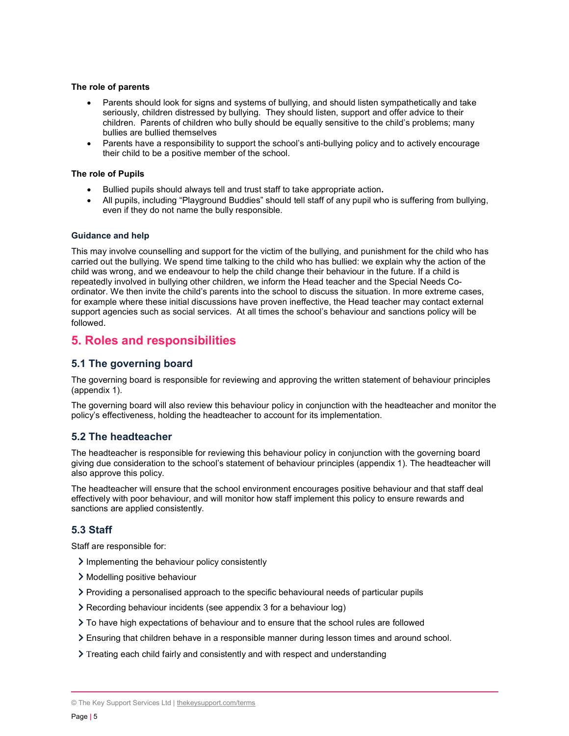#### The role of parents

- Parents should look for signs and systems of bullying, and should listen sympathetically and take seriously, children distressed by bullying. They should listen, support and offer advice to their children. Parents of children who bully should be equally sensitive to the child's problems; many bullies are bullied themselves
- Parents have a responsibility to support the school's anti-bullying policy and to actively encourage their child to be a positive member of the school.

#### The role of Pupils

- Bullied pupils should always tell and trust staff to take appropriate action.
- All pupils, including "Playground Buddies" should tell staff of any pupil who is suffering from bullying, even if they do not name the bully responsible.

#### Guidance and help

This may involve counselling and support for the victim of the bullying, and punishment for the child who has carried out the bullying. We spend time talking to the child who has bullied: we explain why the action of the child was wrong, and we endeavour to help the child change their behaviour in the future. If a child is repeatedly involved in bullying other children, we inform the Head teacher and the Special Needs Coordinator. We then invite the child's parents into the school to discuss the situation. In more extreme cases, for example where these initial discussions have proven ineffective, the Head teacher may contact external support agencies such as social services. At all times the school's behaviour and sanctions policy will be followed.

## 5. Roles and responsibilities

### 5.1 The governing board

The governing board is responsible for reviewing and approving the written statement of behaviour principles (appendix 1).

The governing board will also review this behaviour policy in conjunction with the headteacher and monitor the policy's effectiveness, holding the headteacher to account for its implementation.

#### 5.2 The headteacher

The headteacher is responsible for reviewing this behaviour policy in conjunction with the governing board giving due consideration to the school's statement of behaviour principles (appendix 1). The headteacher will also approve this policy.

The headteacher will ensure that the school environment encourages positive behaviour and that staff deal effectively with poor behaviour, and will monitor how staff implement this policy to ensure rewards and sanctions are applied consistently.

#### 5.3 Staff

Staff are responsible for:

- $\sum$  Implementing the behaviour policy consistently
- Modelling positive behaviour
- Providing a personalised approach to the specific behavioural needs of particular pupils
- Recording behaviour incidents (see appendix 3 for a behaviour log)
- To have high expectations of behaviour and to ensure that the school rules are followed
- Ensuring that children behave in a responsible manner during lesson times and around school.
- $\triangleright$  Treating each child fairly and consistently and with respect and understanding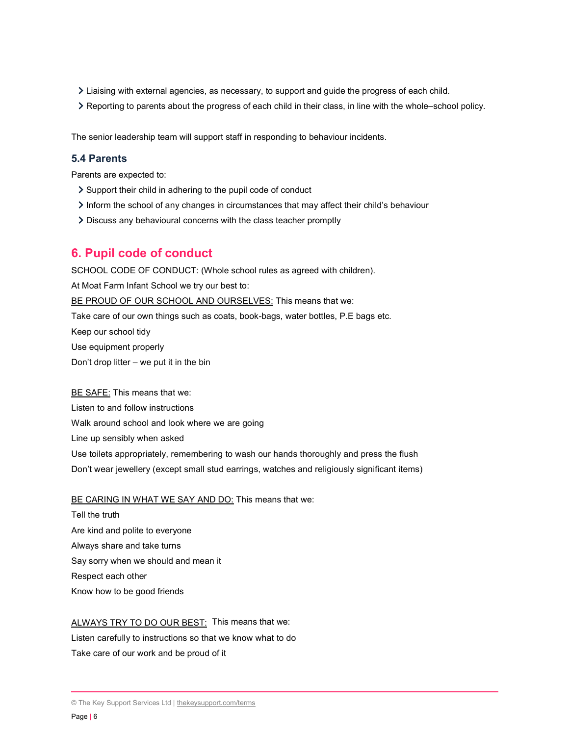- Liaising with external agencies, as necessary, to support and guide the progress of each child.
- Reporting to parents about the progress of each child in their class, in line with the whole–school policy.

The senior leadership team will support staff in responding to behaviour incidents.

#### 5.4 Parents

Parents are expected to:

- Support their child in adhering to the pupil code of conduct
- Inform the school of any changes in circumstances that may affect their child's behaviour
- Discuss any behavioural concerns with the class teacher promptly

## 6. Pupil code of conduct

SCHOOL CODE OF CONDUCT: (Whole school rules as agreed with children). At Moat Farm Infant School we try our best to: BE PROUD OF OUR SCHOOL AND OURSELVES: This means that we: Take care of our own things such as coats, book-bags, water bottles, P.E bags etc. Keep our school tidy Use equipment properly Don't drop litter – we put it in the bin

BE SAFE: This means that we: Listen to and follow instructions Walk around school and look where we are going Line up sensibly when asked Use toilets appropriately, remembering to wash our hands thoroughly and press the flush Don't wear jewellery (except small stud earrings, watches and religiously significant items)

#### BE CARING IN WHAT WE SAY AND DO: This means that we:

Tell the truth Are kind and polite to everyone Always share and take turns Say sorry when we should and mean it Respect each other Know how to be good friends

#### ALWAYS TRY TO DO OUR BEST: This means that we:

Listen carefully to instructions so that we know what to do Take care of our work and be proud of it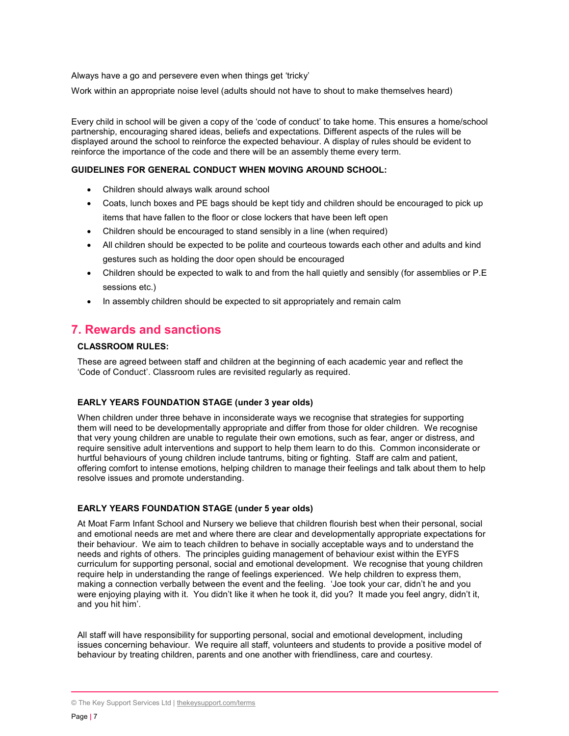Always have a go and persevere even when things get 'tricky'

Work within an appropriate noise level (adults should not have to shout to make themselves heard)

Every child in school will be given a copy of the 'code of conduct' to take home. This ensures a home/school partnership, encouraging shared ideas, beliefs and expectations. Different aspects of the rules will be displayed around the school to reinforce the expected behaviour. A display of rules should be evident to reinforce the importance of the code and there will be an assembly theme every term.

#### GUIDELINES FOR GENERAL CONDUCT WHEN MOVING AROUND SCHOOL:

- Children should always walk around school
- Coats, lunch boxes and PE bags should be kept tidy and children should be encouraged to pick up items that have fallen to the floor or close lockers that have been left open
- Children should be encouraged to stand sensibly in a line (when required)
- All children should be expected to be polite and courteous towards each other and adults and kind gestures such as holding the door open should be encouraged
- Children should be expected to walk to and from the hall quietly and sensibly (for assemblies or P.E sessions etc.)
- In assembly children should be expected to sit appropriately and remain calm

## 7. Rewards and sanctions

#### CLASSROOM RULES:

These are agreed between staff and children at the beginning of each academic year and reflect the 'Code of Conduct'. Classroom rules are revisited regularly as required.

#### EARLY YEARS FOUNDATION STAGE (under 3 year olds)

When children under three behave in inconsiderate ways we recognise that strategies for supporting them will need to be developmentally appropriate and differ from those for older children. We recognise that very young children are unable to regulate their own emotions, such as fear, anger or distress, and require sensitive adult interventions and support to help them learn to do this. Common inconsiderate or hurtful behaviours of young children include tantrums, biting or fighting. Staff are calm and patient, offering comfort to intense emotions, helping children to manage their feelings and talk about them to help resolve issues and promote understanding.

#### EARLY YEARS FOUNDATION STAGE (under 5 year olds)

At Moat Farm Infant School and Nursery we believe that children flourish best when their personal, social and emotional needs are met and where there are clear and developmentally appropriate expectations for their behaviour. We aim to teach children to behave in socially acceptable ways and to understand the needs and rights of others. The principles guiding management of behaviour exist within the EYFS curriculum for supporting personal, social and emotional development. We recognise that young children require help in understanding the range of feelings experienced. We help children to express them, making a connection verbally between the event and the feeling. 'Joe took your car, didn't he and you were enjoying playing with it. You didn't like it when he took it, did you? It made you feel angry, didn't it, and you hit him'.

All staff will have responsibility for supporting personal, social and emotional development, including issues concerning behaviour. We require all staff, volunteers and students to provide a positive model of behaviour by treating children, parents and one another with friendliness, care and courtesy.

<sup>©</sup> The Key Support Services Ltd | thekeysupport.com/terms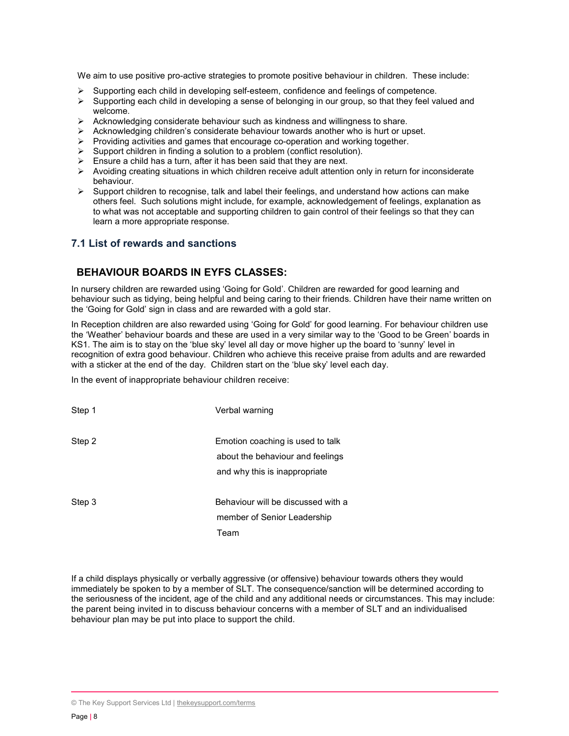We aim to use positive pro-active strategies to promote positive behaviour in children. These include:

- $\triangleright$  Supporting each child in developing self-esteem, confidence and feelings of competence.
- $\triangleright$  Supporting each child in developing a sense of belonging in our group, so that they feel valued and welcome.
- $\triangleright$  Acknowledging considerate behaviour such as kindness and willingness to share.
- $\triangleright$  Acknowledging children's considerate behaviour towards another who is hurt or upset.
- $\triangleright$  Providing activities and games that encourage co-operation and working together.
- $\triangleright$  Support children in finding a solution to a problem (conflict resolution).
- Ensure a child has a turn, after it has been said that they are next.
- $\triangleright$  Avoiding creating situations in which children receive adult attention only in return for inconsiderate behaviour.
- $\triangleright$  Support children to recognise, talk and label their feelings, and understand how actions can make others feel. Such solutions might include, for example, acknowledgement of feelings, explanation as to what was not acceptable and supporting children to gain control of their feelings so that they can learn a more appropriate response.

#### 7.1 List of rewards and sanctions

#### BEHAVIOUR BOARDS IN EYFS CLASSES:

In nursery children are rewarded using 'Going for Gold'. Children are rewarded for good learning and behaviour such as tidying, being helpful and being caring to their friends. Children have their name written on the 'Going for Gold' sign in class and are rewarded with a gold star.

In Reception children are also rewarded using 'Going for Gold' for good learning. For behaviour children use the 'Weather' behaviour boards and these are used in a very similar way to the 'Good to be Green' boards in KS1. The aim is to stay on the 'blue sky' level all day or move higher up the board to 'sunny' level in recognition of extra good behaviour. Children who achieve this receive praise from adults and are rewarded with a sticker at the end of the day. Children start on the 'blue sky' level each day.

In the event of inappropriate behaviour children receive:

| Step 1 | Verbal warning                                                                                        |
|--------|-------------------------------------------------------------------------------------------------------|
| Step 2 | Emotion coaching is used to talk<br>about the behaviour and feelings<br>and why this is inappropriate |
| Step 3 | Behaviour will be discussed with a<br>member of Senior Leadership<br>Team                             |

If a child displays physically or verbally aggressive (or offensive) behaviour towards others they would immediately be spoken to by a member of SLT. The consequence/sanction will be determined according to the seriousness of the incident, age of the child and any additional needs or circumstances. This may include: the parent being invited in to discuss behaviour concerns with a member of SLT and an individualised behaviour plan may be put into place to support the child.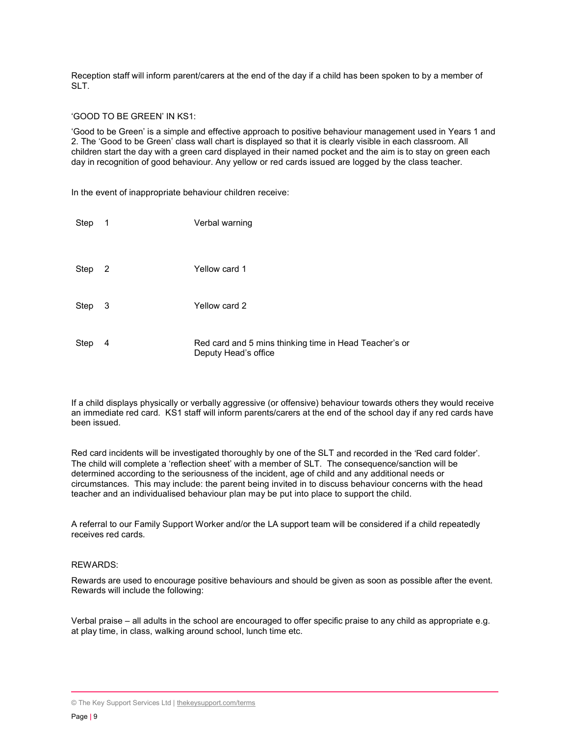Reception staff will inform parent/carers at the end of the day if a child has been spoken to by a member of SLT.

#### 'GOOD TO BE GREEN' IN KS1:

'Good to be Green' is a simple and effective approach to positive behaviour management used in Years 1 and 2. The 'Good to be Green' class wall chart is displayed so that it is clearly visible in each classroom. All children start the day with a green card displayed in their named pocket and the aim is to stay on green each day in recognition of good behaviour. Any yellow or red cards issued are logged by the class teacher.

In the event of inappropriate behaviour children receive:

| Step   | $\overline{1}$             | Verbal warning                                                                 |
|--------|----------------------------|--------------------------------------------------------------------------------|
| Step   | $\overline{\phantom{0}}^2$ | Yellow card 1                                                                  |
| Step 3 |                            | Yellow card 2                                                                  |
| Step   | 4                          | Red card and 5 mins thinking time in Head Teacher's or<br>Deputy Head's office |

If a child displays physically or verbally aggressive (or offensive) behaviour towards others they would receive an immediate red card. KS1 staff will inform parents/carers at the end of the school day if any red cards have been issued.

Red card incidents will be investigated thoroughly by one of the SLT and recorded in the 'Red card folder'. The child will complete a 'reflection sheet' with a member of SLT. The consequence/sanction will be determined according to the seriousness of the incident, age of child and any additional needs or circumstances. This may include: the parent being invited in to discuss behaviour concerns with the head teacher and an individualised behaviour plan may be put into place to support the child.

A referral to our Family Support Worker and/or the LA support team will be considered if a child repeatedly receives red cards.

#### REWARDS:

Rewards are used to encourage positive behaviours and should be given as soon as possible after the event. Rewards will include the following:

Verbal praise – all adults in the school are encouraged to offer specific praise to any child as appropriate e.g. at play time, in class, walking around school, lunch time etc.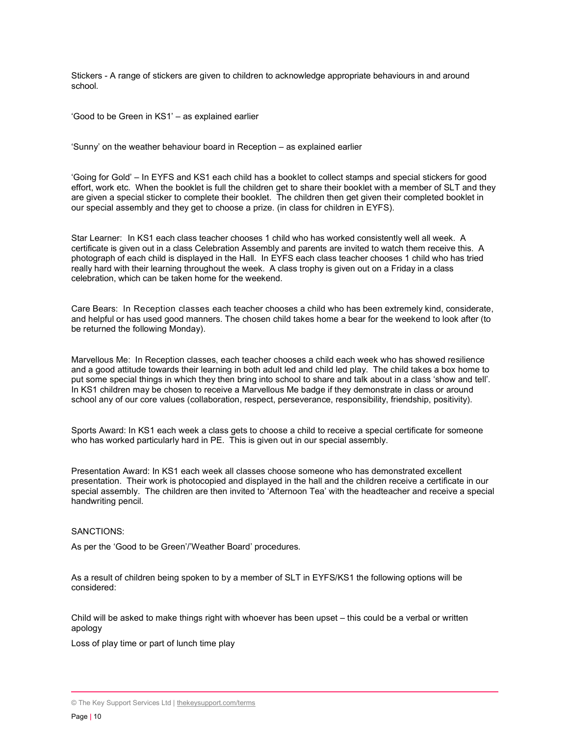Stickers - A range of stickers are given to children to acknowledge appropriate behaviours in and around school.

'Good to be Green in KS1' – as explained earlier

'Sunny' on the weather behaviour board in Reception – as explained earlier

'Going for Gold' – In EYFS and KS1 each child has a booklet to collect stamps and special stickers for good effort, work etc. When the booklet is full the children get to share their booklet with a member of SLT and they are given a special sticker to complete their booklet. The children then get given their completed booklet in our special assembly and they get to choose a prize. (in class for children in EYFS).

Star Learner: In KS1 each class teacher chooses 1 child who has worked consistently well all week. A certificate is given out in a class Celebration Assembly and parents are invited to watch them receive this. A photograph of each child is displayed in the Hall. In EYFS each class teacher chooses 1 child who has tried really hard with their learning throughout the week. A class trophy is given out on a Friday in a class celebration, which can be taken home for the weekend.

Care Bears: In Reception classes each teacher chooses a child who has been extremely kind, considerate, and helpful or has used good manners. The chosen child takes home a bear for the weekend to look after (to be returned the following Monday).

Marvellous Me: In Reception classes, each teacher chooses a child each week who has showed resilience and a good attitude towards their learning in both adult led and child led play. The child takes a box home to put some special things in which they then bring into school to share and talk about in a class 'show and tell'. In KS1 children may be chosen to receive a Marvellous Me badge if they demonstrate in class or around school any of our core values (collaboration, respect, perseverance, responsibility, friendship, positivity).

Sports Award: In KS1 each week a class gets to choose a child to receive a special certificate for someone who has worked particularly hard in PE. This is given out in our special assembly.

Presentation Award: In KS1 each week all classes choose someone who has demonstrated excellent presentation. Their work is photocopied and displayed in the hall and the children receive a certificate in our special assembly. The children are then invited to 'Afternoon Tea' with the headteacher and receive a special handwriting pencil.

#### SANCTIONS:

As per the 'Good to be Green'/'Weather Board' procedures.

As a result of children being spoken to by a member of SLT in EYFS/KS1 the following options will be considered:

Child will be asked to make things right with whoever has been upset – this could be a verbal or written apology

Loss of play time or part of lunch time play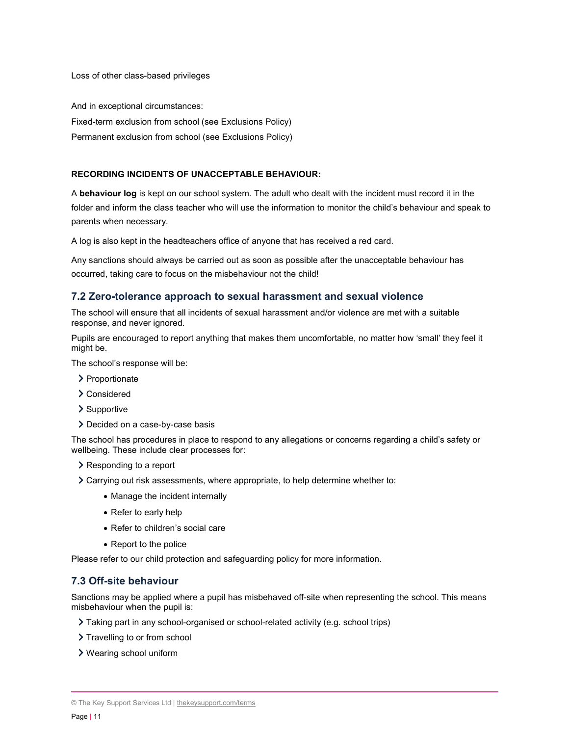Loss of other class-based privileges

And in exceptional circumstances: Fixed-term exclusion from school (see Exclusions Policy) Permanent exclusion from school (see Exclusions Policy)

#### RECORDING INCIDENTS OF UNACCEPTABLE BEHAVIOUR:

A behaviour log is kept on our school system. The adult who dealt with the incident must record it in the folder and inform the class teacher who will use the information to monitor the child's behaviour and speak to parents when necessary.

A log is also kept in the headteachers office of anyone that has received a red card.

Any sanctions should always be carried out as soon as possible after the unacceptable behaviour has occurred, taking care to focus on the misbehaviour not the child!

#### 7.2 Zero-tolerance approach to sexual harassment and sexual violence

The school will ensure that all incidents of sexual harassment and/or violence are met with a suitable response, and never ignored.

Pupils are encouraged to report anything that makes them uncomfortable, no matter how 'small' they feel it might be.

The school's response will be:

- > Proportionate
- Considered
- > Supportive
- > Decided on a case-by-case basis

The school has procedures in place to respond to any allegations or concerns regarding a child's safety or wellbeing. These include clear processes for:

> Responding to a report

Carrying out risk assessments, where appropriate, to help determine whether to:

- Manage the incident internally
- Refer to early help
- Refer to children's social care
- Report to the police

Please refer to our child protection and safeguarding policy for more information.

#### 7.3 Off-site behaviour

Sanctions may be applied where a pupil has misbehaved off-site when representing the school. This means misbehaviour when the pupil is:

- Taking part in any school-organised or school-related activity (e.g. school trips)
- > Travelling to or from school
- Wearing school uniform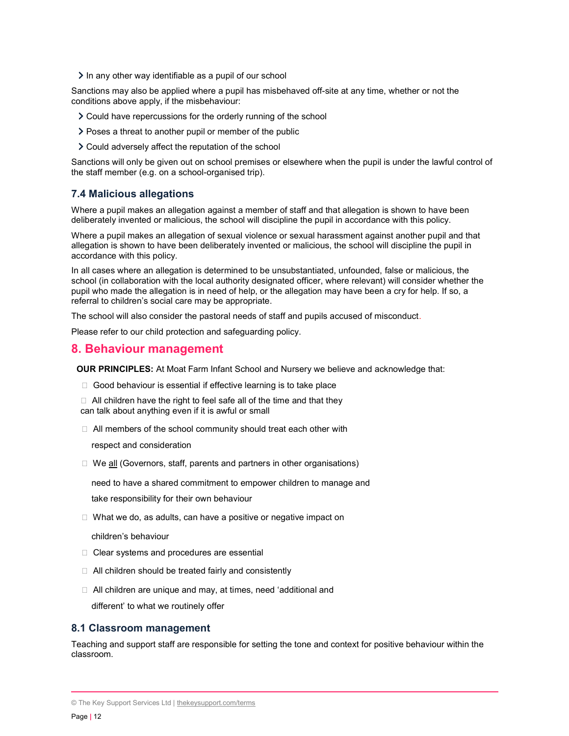$\geq$  In any other way identifiable as a pupil of our school

Sanctions may also be applied where a pupil has misbehaved off-site at any time, whether or not the conditions above apply, if the misbehaviour:

- Could have repercussions for the orderly running of the school
- $\geq$  Poses a threat to another pupil or member of the public
- Could adversely affect the reputation of the school

Sanctions will only be given out on school premises or elsewhere when the pupil is under the lawful control of the staff member (e.g. on a school-organised trip).

#### 7.4 Malicious allegations

Where a pupil makes an allegation against a member of staff and that allegation is shown to have been deliberately invented or malicious, the school will discipline the pupil in accordance with this policy.

Where a pupil makes an allegation of sexual violence or sexual harassment against another pupil and that allegation is shown to have been deliberately invented or malicious, the school will discipline the pupil in accordance with this policy.

In all cases where an allegation is determined to be unsubstantiated, unfounded, false or malicious, the school (in collaboration with the local authority designated officer, where relevant) will consider whether the pupil who made the allegation is in need of help, or the allegation may have been a cry for help. If so, a referral to children's social care may be appropriate.

The school will also consider the pastoral needs of staff and pupils accused of misconduct.

Please refer to our child protection and safeguarding policy.

#### 8. Behaviour management

OUR PRINCIPLES: At Moat Farm Infant School and Nursery we believe and acknowledge that:

- $\Box$  Good behaviour is essential if effective learning is to take place
- $\Box$  All children have the right to feel safe all of the time and that they can talk about anything even if it is awful or small
- □ All members of the school community should treat each other with

respect and consideration

 $\Box$  We all (Governors, staff, parents and partners in other organisations)

need to have a shared commitment to empower children to manage and

take responsibility for their own behaviour

 $\Box$  What we do, as adults, can have a positive or negative impact on

children's behaviour

- □ Clear systems and procedures are essential
- $\Box$  All children should be treated fairly and consistently
- □ All children are unique and may, at times, need 'additional and

different' to what we routinely offer

#### 8.1 Classroom management

Teaching and support staff are responsible for setting the tone and context for positive behaviour within the classroom.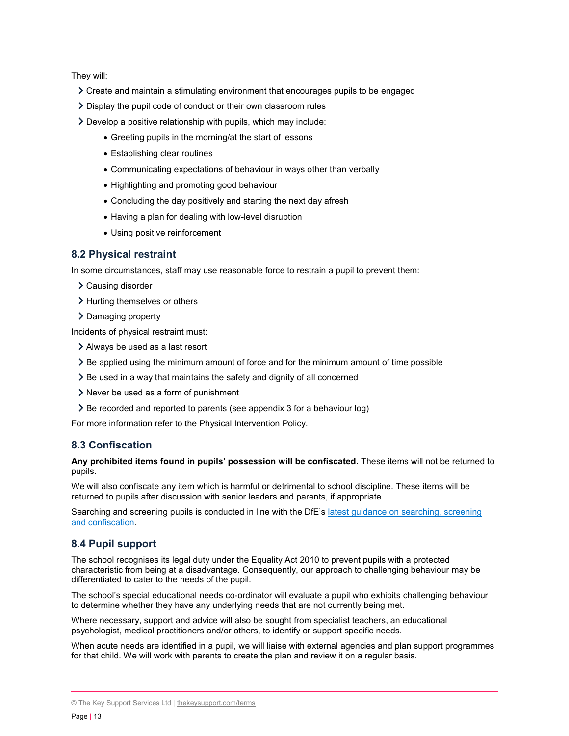They will:

- $\geq$  Create and maintain a stimulating environment that encourages pupils to be engaged
- Display the pupil code of conduct or their own classroom rules
- Develop a positive relationship with pupils, which may include:
	- Greeting pupils in the morning/at the start of lessons
	- Establishing clear routines
	- Communicating expectations of behaviour in ways other than verbally
	- Highlighting and promoting good behaviour
	- Concluding the day positively and starting the next day afresh
	- Having a plan for dealing with low-level disruption
	- Using positive reinforcement

#### 8.2 Physical restraint

In some circumstances, staff may use reasonable force to restrain a pupil to prevent them:

- > Causing disorder
- > Hurting themselves or others
- > Damaging property

Incidents of physical restraint must:

- Always be used as a last resort
- Be applied using the minimum amount of force and for the minimum amount of time possible
- $\geq$  Be used in a way that maintains the safety and dignity of all concerned
- Never be used as a form of punishment
- Be recorded and reported to parents (see appendix 3 for a behaviour log)

For more information refer to the Physical Intervention Policy.

#### 8.3 Confiscation

Any prohibited items found in pupils' possession will be confiscated. These items will not be returned to pupils.

We will also confiscate any item which is harmful or detrimental to school discipline. These items will be returned to pupils after discussion with senior leaders and parents, if appropriate.

Searching and screening pupils is conducted in line with the DfE's latest guidance on searching, screening and confiscation.

## 8.4 Pupil support

The school recognises its legal duty under the Equality Act 2010 to prevent pupils with a protected characteristic from being at a disadvantage. Consequently, our approach to challenging behaviour may be differentiated to cater to the needs of the pupil.

The school's special educational needs co-ordinator will evaluate a pupil who exhibits challenging behaviour to determine whether they have any underlying needs that are not currently being met.

Where necessary, support and advice will also be sought from specialist teachers, an educational psychologist, medical practitioners and/or others, to identify or support specific needs.

When acute needs are identified in a pupil, we will liaise with external agencies and plan support programmes for that child. We will work with parents to create the plan and review it on a regular basis.

<sup>©</sup> The Key Support Services Ltd | thekeysupport.com/terms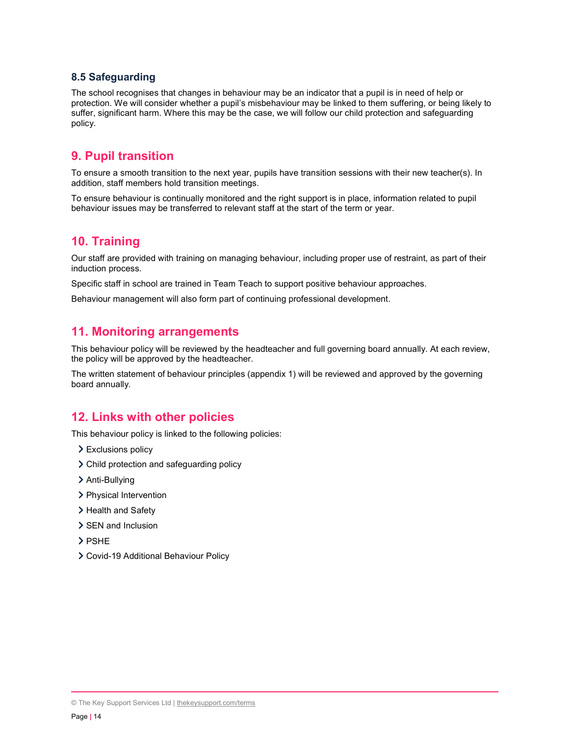## 8.5 Safeguarding

The school recognises that changes in behaviour may be an indicator that a pupil is in need of help or protection. We will consider whether a pupil's misbehaviour may be linked to them suffering, or being likely to suffer, significant harm. Where this may be the case, we will follow our child protection and safeguarding policy.

## 9. Pupil transition

To ensure a smooth transition to the next year, pupils have transition sessions with their new teacher(s). In addition, staff members hold transition meetings.

To ensure behaviour is continually monitored and the right support is in place, information related to pupil behaviour issues may be transferred to relevant staff at the start of the term or year.

## 10. Training

Our staff are provided with training on managing behaviour, including proper use of restraint, as part of their induction process.

Specific staff in school are trained in Team Teach to support positive behaviour approaches.

Behaviour management will also form part of continuing professional development.

## 11. Monitoring arrangements

This behaviour policy will be reviewed by the headteacher and full governing board annually. At each review, the policy will be approved by the headteacher.

The written statement of behaviour principles (appendix 1) will be reviewed and approved by the governing board annually.

## 12. Links with other policies

This behaviour policy is linked to the following policies:

- Exclusions policy
- Child protection and safeguarding policy
- Anti-Bullying
- Physical Intervention
- > Health and Safety
- > SEN and Inclusion
- $>$  PSHE
- Covid-19 Additional Behaviour Policy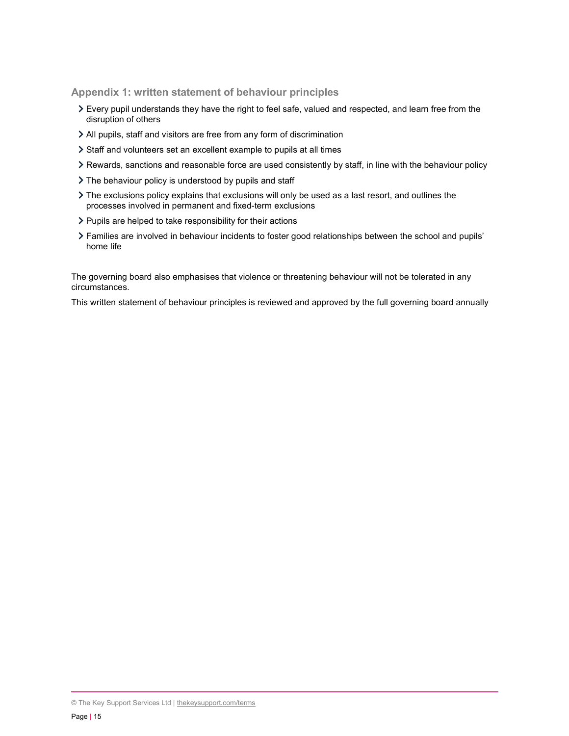#### Appendix 1: written statement of behaviour principles

- Every pupil understands they have the right to feel safe, valued and respected, and learn free from the disruption of others
- All pupils, staff and visitors are free from any form of discrimination
- Staff and volunteers set an excellent example to pupils at all times
- Rewards, sanctions and reasonable force are used consistently by staff, in line with the behaviour policy
- > The behaviour policy is understood by pupils and staff
- The exclusions policy explains that exclusions will only be used as a last resort, and outlines the processes involved in permanent and fixed-term exclusions
- Pupils are helped to take responsibility for their actions
- Families are involved in behaviour incidents to foster good relationships between the school and pupils' home life

The governing board also emphasises that violence or threatening behaviour will not be tolerated in any circumstances.

This written statement of behaviour principles is reviewed and approved by the full governing board annually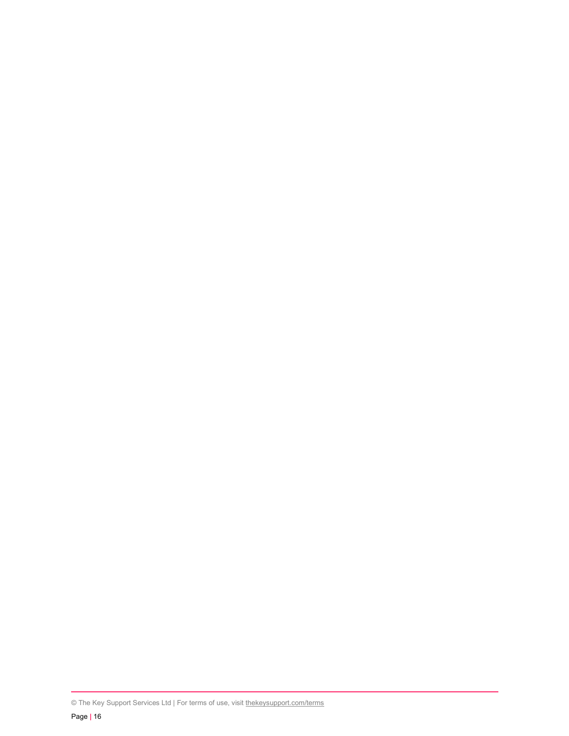$\circledcirc$  The Key Support Services Ltd | For terms of use, visit thekeysupport.com/terms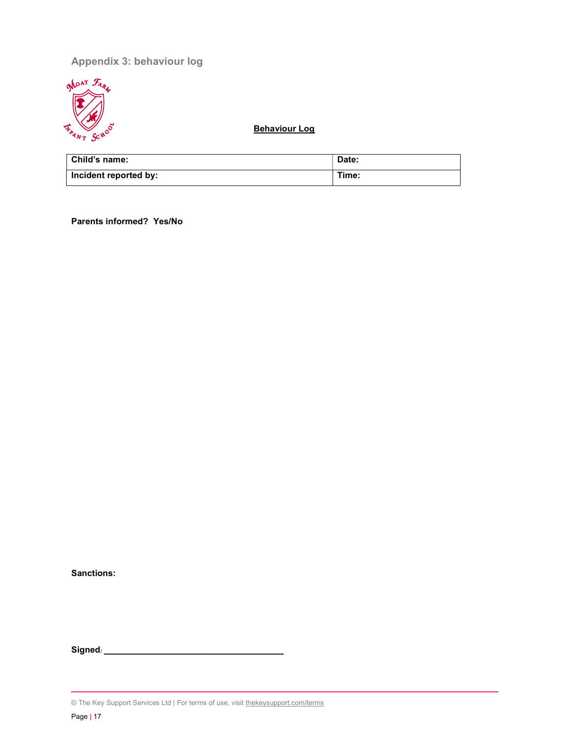Appendix 3: behaviour log



Behaviour Log

| Child's name:         | Date: |
|-----------------------|-------|
| Incident reported by: | Time: |

Parents informed? Yes/No

Sanctions:

 ${\sf Singled:}\begin{equation} \end{equation}$ 

<sup>©</sup> The Key Support Services Ltd | For terms of use, visit thekeysupport.com/terms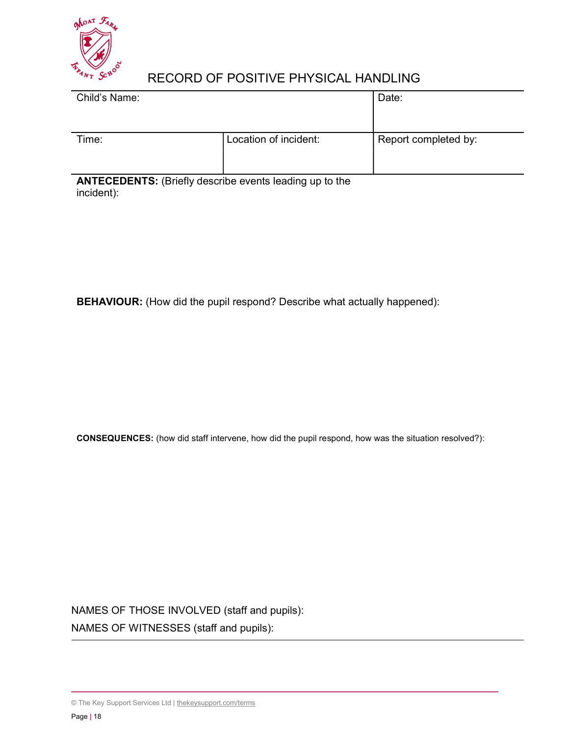

## RECORD OF POSITIVE PHYSICAL HANDLING

| Child's Name: |                       | Date:                |
|---------------|-----------------------|----------------------|
| Time:         | Location of incident: | Report completed by: |

ANTECEDENTS: (Briefly describe events leading up to the incident):

BEHAVIOUR: (How did the pupil respond? Describe what actually happened):

CONSEQUENCES: (how did staff intervene, how did the pupil respond, how was the situation resolved?):

NAMES OF THOSE INVOLVED (staff and pupils): NAMES OF WITNESSES (staff and pupils):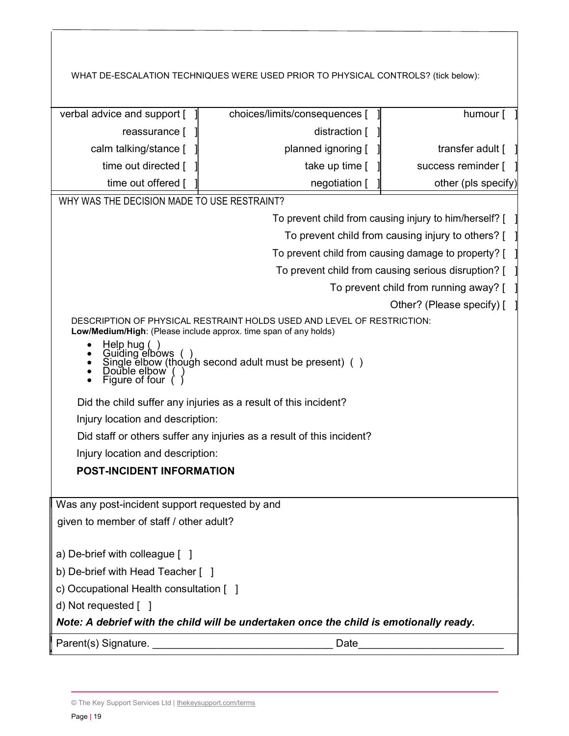|                                                | WHAT DE-ESCALATION TECHNIQUES WERE USED PRIOR TO PHYSICAL CONTROLS? (tick below):                                                          |                                                        |
|------------------------------------------------|--------------------------------------------------------------------------------------------------------------------------------------------|--------------------------------------------------------|
| verbal advice and support [                    | choices/limits/consequences [                                                                                                              | humour [                                               |
| reassurance [                                  | distraction [                                                                                                                              |                                                        |
| calm talking/stance [                          | planned ignoring [                                                                                                                         | transfer adult [                                       |
| time out directed [                            | take up time [                                                                                                                             | success reminder [                                     |
| time out offered [                             | negotiation                                                                                                                                | other (pls specify)                                    |
| WHY WAS THE DECISION MADE TO USE RESTRAINT?    |                                                                                                                                            |                                                        |
|                                                |                                                                                                                                            | To prevent child from causing injury to him/herself? [ |
|                                                |                                                                                                                                            | To prevent child from causing injury to others? [      |
|                                                |                                                                                                                                            | To prevent child from causing damage to property? [    |
|                                                |                                                                                                                                            | To prevent child from causing serious disruption? [    |
|                                                |                                                                                                                                            | To prevent child from running away? [                  |
|                                                |                                                                                                                                            | Other? (Please specify) [                              |
|                                                | DESCRIPTION OF PHYSICAL RESTRAINT HOLDS USED AND LEVEL OF RESTRICTION:<br>Low/Medium/High: (Please include approx. time span of any holds) |                                                        |
| Double elbow<br>Figure of four                 | Help hug ()<br>Guiding elbows ()<br>Single elbow (though second adult must be present) ()                                                  |                                                        |
|                                                | Did the child suffer any injuries as a result of this incident?                                                                            |                                                        |
| Injury location and description:               |                                                                                                                                            |                                                        |
|                                                | Did staff or others suffer any injuries as a result of this incident?                                                                      |                                                        |
| Injury location and description:               |                                                                                                                                            |                                                        |
| POST-INCIDENT INFORMATION                      |                                                                                                                                            |                                                        |
| Was any post-incident support requested by and |                                                                                                                                            |                                                        |
| given to member of staff / other adult?        |                                                                                                                                            |                                                        |
| a) De-brief with colleague [ ]                 |                                                                                                                                            |                                                        |
| b) De-brief with Head Teacher [ ]              |                                                                                                                                            |                                                        |
| c) Occupational Health consultation [ ]        |                                                                                                                                            |                                                        |
| d) Not requested [ ]                           |                                                                                                                                            |                                                        |
|                                                | Note: A debrief with the child will be undertaken once the child is emotionally ready.                                                     |                                                        |
| Parent(s) Signature.                           | Date                                                                                                                                       |                                                        |
|                                                |                                                                                                                                            |                                                        |

<sup>©</sup> The Key Support Services Ltd | thekeysupport.com/terms